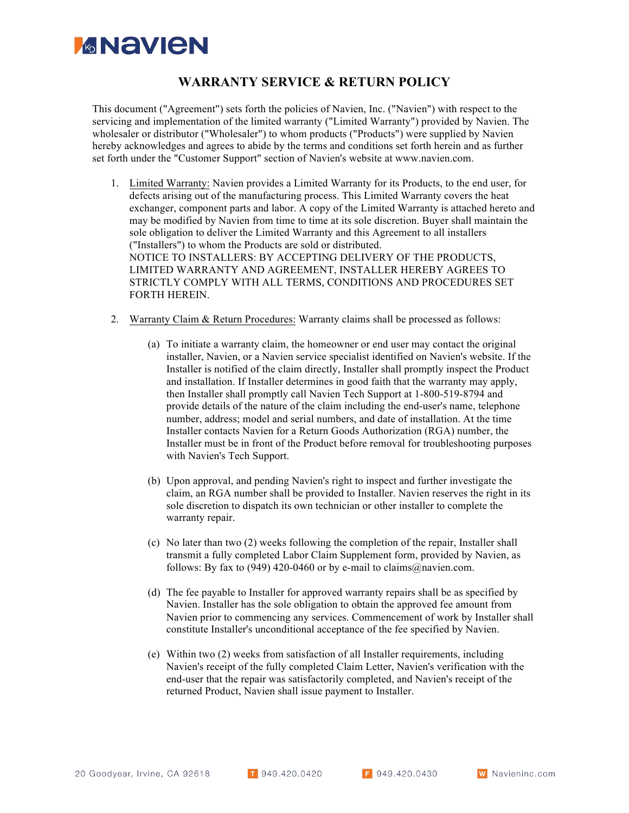## *MANEN*

## **WARRANTY SERVICE & RETURN POLICY**

This document ("Agreement") sets forth the policies of Navien, Inc. ("Navien") with respect to the servicing and implementation of the limited warranty ("Limited Warranty") provided by Navien. The wholesaler or distributor ("Wholesaler") to whom products ("Products") were supplied by Navien hereby acknowledges and agrees to abide by the terms and conditions set forth herein and as further set forth under the "Customer Support" section of Navien's website at www.navien.com.

- 1. Limited Warranty: Navien provides a Limited Warranty for its Products, to the end user, for defects arising out of the manufacturing process. This Limited Warranty covers the heat exchanger, component parts and labor. A copy of the Limited Warranty is attached hereto and may be modified by Navien from time to time at its sole discretion. Buyer shall maintain the sole obligation to deliver the Limited Warranty and this Agreement to all installers ("Installers") to whom the Products are sold or distributed. NOTICE TO INSTALLERS: BY ACCEPTING DELIVERY OF THE PRODUCTS, LIMITED WARRANTY AND AGREEMENT, INSTALLER HEREBY AGREES TO STRICTLY COMPLY WITH ALL TERMS, CONDITIONS AND PROCEDURES SET FORTH HEREIN.
- 2. Warranty Claim & Return Procedures: Warranty claims shall be processed as follows:
	- (a) To initiate a warranty claim, the homeowner or end user may contact the original installer, Navien, or a Navien service specialist identified on Navien's website. If the Installer is notified of the claim directly, Installer shall promptly inspect the Product and installation. If Installer determines in good faith that the warranty may apply, then Installer shall promptly call Navien Tech Support at 1-800-519-8794 and provide details of the nature of the claim including the end-user's name, telephone number, address; model and serial numbers, and date of installation. At the time Installer contacts Navien for a Return Goods Authorization (RGA) number, the Installer must be in front of the Product before removal for troubleshooting purposes with Navien's Tech Support.
	- (b) Upon approval, and pending Navien's right to inspect and further investigate the claim, an RGA number shall be provided to Installer. Navien reserves the right in its sole discretion to dispatch its own technician or other installer to complete the warranty repair.
	- (c) No later than two (2) weeks following the completion of the repair, Installer shall transmit a fully completed Labor Claim Supplement form, provided by Navien, as follows: By fax to (949) 420-0460 or by e-mail to claims@navien.com.
	- (d) The fee payable to Installer for approved warranty repairs shall be as specified by Navien. Installer has the sole obligation to obtain the approved fee amount from Navien prior to commencing any services. Commencement of work by Installer shall constitute Installer's unconditional acceptance of the fee specified by Navien.
	- (e) Within two (2) weeks from satisfaction of all Installer requirements, including Navien's receipt of the fully completed Claim Letter, Navien's verification with the end-user that the repair was satisfactorily completed, and Navien's receipt of the returned Product, Navien shall issue payment to Installer.

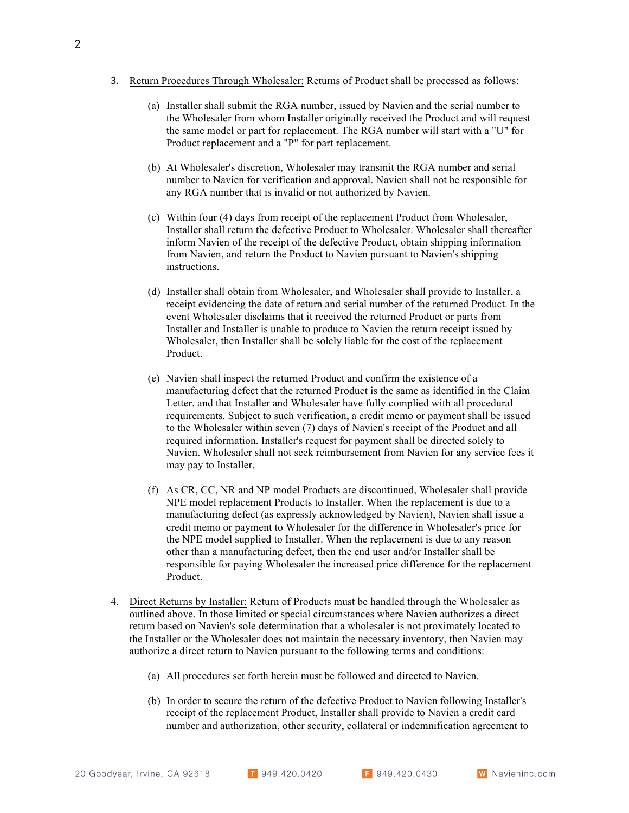- 3. Return Procedures Through Wholesaler: Returns of Product shall be processed as follows:
	- (a) Installer shall submit the RGA number, issued by Navien and the serial number to the Wholesaler from whom Installer originally received the Product and will request the same model or part for replacement. The RGA number will start with a "U" for Product replacement and a "P" for part replacement.
	- (b) At Wholesaler's discretion, Wholesaler may transmit the RGA number and serial number to Navien for verification and approval. Navien shall not be responsible for any RGA number that is invalid or not authorized by Navien.
	- (c) Within four (4) days from receipt of the replacement Product from Wholesaler, Installer shall return the defective Product to Wholesaler. Wholesaler shall thereafter inform Navien of the receipt of the defective Product, obtain shipping information from Navien, and return the Product to Navien pursuant to Navien's shipping instructions.
	- (d) Installer shall obtain from Wholesaler, and Wholesaler shall provide to Installer, a receipt evidencing the date of return and serial number of the returned Product. In the event Wholesaler disclaims that it received the returned Product or parts from Installer and Installer is unable to produce to Navien the return receipt issued by Wholesaler, then Installer shall be solely liable for the cost of the replacement Product.
	- (e) Navien shall inspect the returned Product and confirm the existence of a manufacturing defect that the returned Product is the same as identified in the Claim Letter, and that Installer and Wholesaler have fully complied with all procedural requirements. Subject to such verification, a credit memo or payment shall be issued to the Wholesaler within seven (7) days of Navien's receipt of the Product and all required information. Installer's request for payment shall be directed solely to Navien. Wholesaler shall not seek reimbursement from Navien for any service fees it may pay to Installer.
	- (f) As CR, CC, NR and NP model Products are discontinued, Wholesaler shall provide NPE model replacement Products to Installer. When the replacement is due to a manufacturing defect (as expressly acknowledged by Navien), Navien shall issue a credit memo or payment to Wholesaler for the difference in Wholesaler's price for the NPE model supplied to Installer. When the replacement is due to any reason other than a manufacturing defect, then the end user and/or Installer shall be responsible for paying Wholesaler the increased price difference for the replacement Product.
- 4. Direct Returns by Installer: Return of Products must be handled through the Wholesaler as outlined above. In those limited or special circumstances where Navien authorizes a direct return based on Navien's sole determination that a wholesaler is not proximately located to the Installer or the Wholesaler does not maintain the necessary inventory, then Navien may authorize a direct return to Navien pursuant to the following terms and conditions:
	- (a) All procedures set forth herein must be followed and directed to Navien.
	- (b) In order to secure the return of the defective Product to Navien following Installer's receipt of the replacement Product, Installer shall provide to Navien a credit card number and authorization, other security, collateral or indemnification agreement to

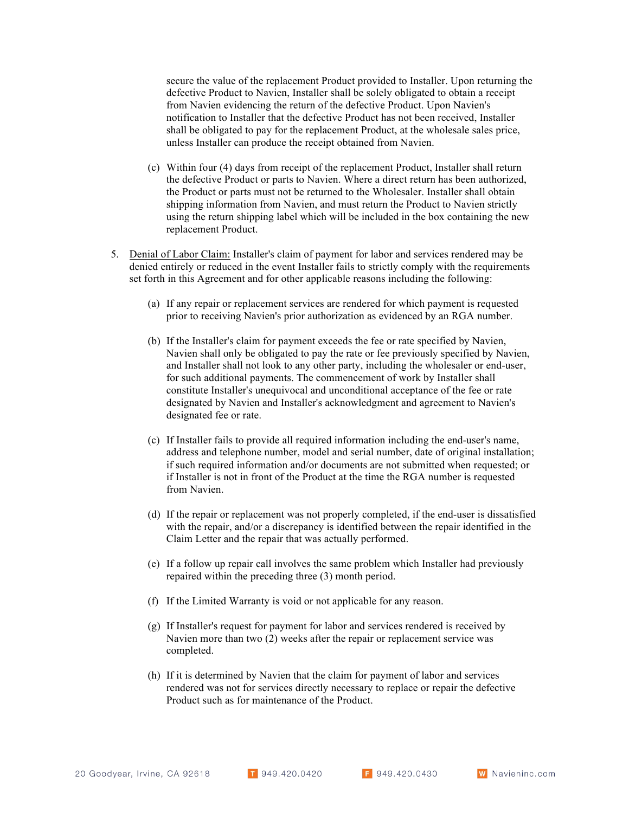secure the value of the replacement Product provided to Installer. Upon returning the defective Product to Navien, Installer shall be solely obligated to obtain a receipt from Navien evidencing the return of the defective Product. Upon Navien's notification to Installer that the defective Product has not been received, Installer shall be obligated to pay for the replacement Product, at the wholesale sales price, unless Installer can produce the receipt obtained from Navien.

- (c) Within four (4) days from receipt of the replacement Product, Installer shall return the defective Product or parts to Navien. Where a direct return has been authorized, the Product or parts must not be returned to the Wholesaler. Installer shall obtain shipping information from Navien, and must return the Product to Navien strictly using the return shipping label which will be included in the box containing the new replacement Product.
- 5. Denial of Labor Claim: Installer's claim of payment for labor and services rendered may be denied entirely or reduced in the event Installer fails to strictly comply with the requirements set forth in this Agreement and for other applicable reasons including the following:
	- (a) If any repair or replacement services are rendered for which payment is requested prior to receiving Navien's prior authorization as evidenced by an RGA number.
	- (b) If the Installer's claim for payment exceeds the fee or rate specified by Navien, Navien shall only be obligated to pay the rate or fee previously specified by Navien, and Installer shall not look to any other party, including the wholesaler or end-user, for such additional payments. The commencement of work by Installer shall constitute Installer's unequivocal and unconditional acceptance of the fee or rate designated by Navien and Installer's acknowledgment and agreement to Navien's designated fee or rate.
	- (c) If Installer fails to provide all required information including the end-user's name, address and telephone number, model and serial number, date of original installation; if such required information and/or documents are not submitted when requested; or if Installer is not in front of the Product at the time the RGA number is requested from Navien.
	- (d) If the repair or replacement was not properly completed, if the end-user is dissatisfied with the repair, and/or a discrepancy is identified between the repair identified in the Claim Letter and the repair that was actually performed.
	- (e) If a follow up repair call involves the same problem which Installer had previously repaired within the preceding three (3) month period.
	- (f) If the Limited Warranty is void or not applicable for any reason.
	- (g) If Installer's request for payment for labor and services rendered is received by Navien more than two (2) weeks after the repair or replacement service was completed.
	- (h) If it is determined by Navien that the claim for payment of labor and services rendered was not for services directly necessary to replace or repair the defective Product such as for maintenance of the Product.